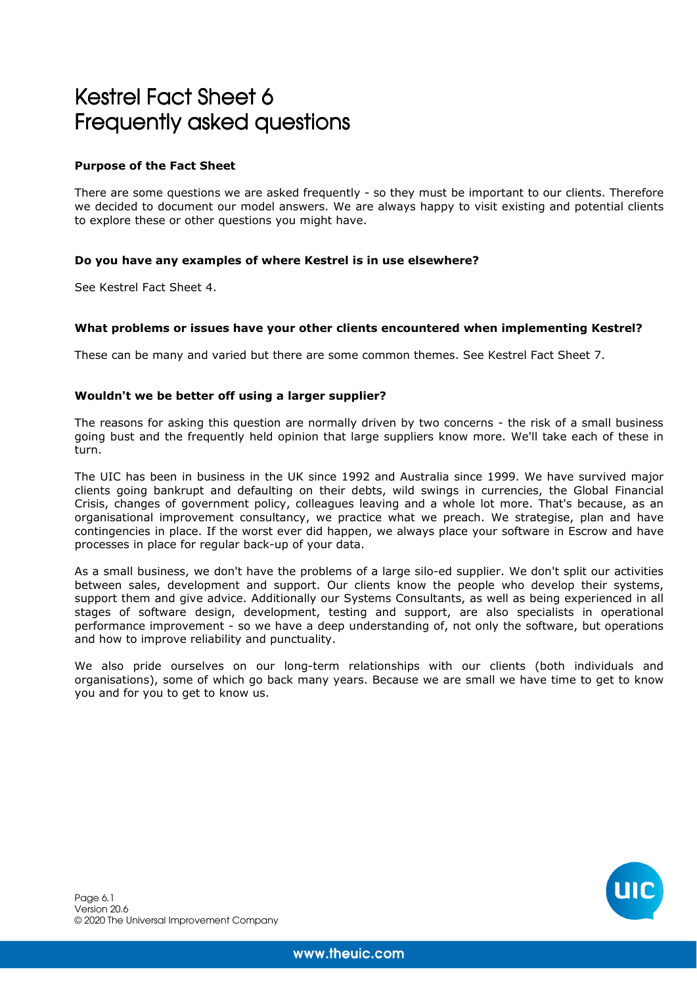# Kestrel Fact Sheet 6 Frequently asked questions

# **Purpose of the Fact Sheet**

There are some questions we are asked frequently - so they must be important to our clients. Therefore we decided to document our model answers. We are always happy to visit existing and potential clients to explore these or other questions you might have.

# **Do you have any examples of where Kestrel is in use elsewhere?**

See Kestrel Fact Sheet 4.

## **What problems or issues have your other clients encountered when implementing Kestrel?**

These can be many and varied but there are some common themes. See Kestrel Fact Sheet 7.

## **Wouldn't we be better off using a larger supplier?**

The reasons for asking this question are normally driven by two concerns - the risk of a small business going bust and the frequently held opinion that large suppliers know more. We'll take each of these in turn.

The UIC has been in business in the UK since 1992 and Australia since 1999. We have survived major clients going bankrupt and defaulting on their debts, wild swings in currencies, the Global Financial Crisis, changes of government policy, colleagues leaving and a whole lot more. That's because, as an organisational improvement consultancy, we practice what we preach. We strategise, plan and have contingencies in place. If the worst ever did happen, we always place your software in Escrow and have processes in place for regular back-up of your data.

As a small business, we don't have the problems of a large silo-ed supplier. We don't split our activities between sales, development and support. Our clients know the people who develop their systems, support them and give advice. Additionally our Systems Consultants, as well as being experienced in all stages of software design, development, testing and support, are also specialists in operational performance improvement - so we have a deep understanding of, not only the software, but operations and how to improve reliability and punctuality.

We also pride ourselves on our long-term relationships with our clients (both individuals and organisations), some of which go back many years. Because we are small we have time to get to know you and for you to get to know us.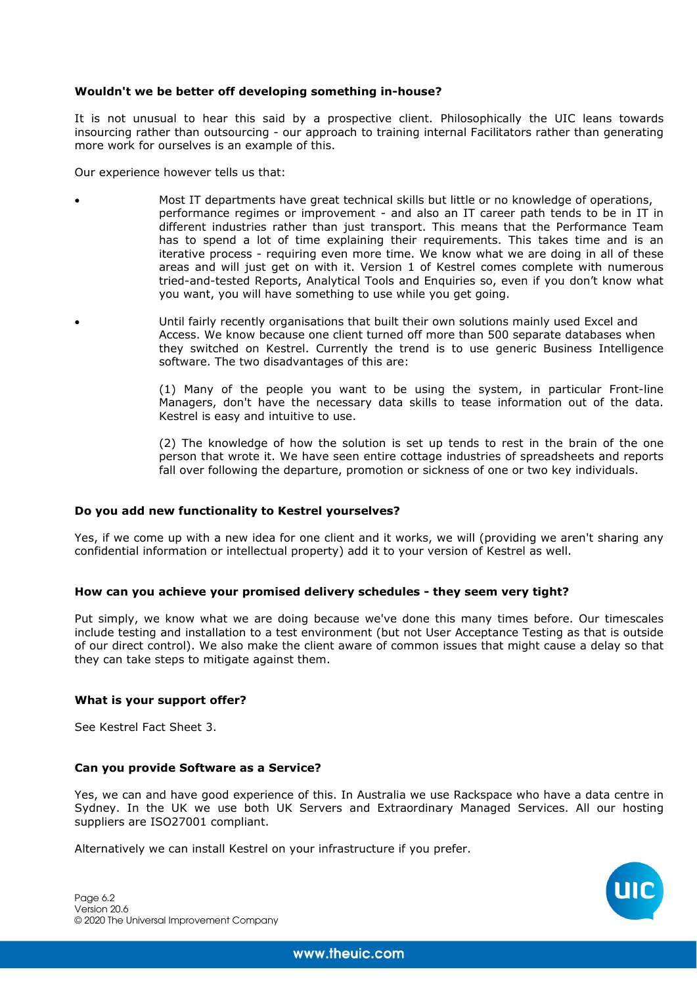## **Wouldn't we be better off developing something in-house?**

It is not unusual to hear this said by a prospective client. Philosophically the UIC leans towards insourcing rather than outsourcing - our approach to training internal Facilitators rather than generating more work for ourselves is an example of this.

Our experience however tells us that:

- Most IT departments have great technical skills but little or no knowledge of operations, performance regimes or improvement - and also an IT career path tends to be in IT in different industries rather than just transport. This means that the Performance Team has to spend a lot of time explaining their requirements. This takes time and is an iterative process - requiring even more time. We know what we are doing in all of these areas and will just get on with it. Version 1 of Kestrel comes complete with numerous tried-and-tested Reports, Analytical Tools and Enquiries so, even if you don't know what you want, you will have something to use while you get going.
	- Until fairly recently organisations that built their own solutions mainly used Excel and Access. We know because one client turned off more than 500 separate databases when they switched on Kestrel. Currently the trend is to use generic Business Intelligence software. The two disadvantages of this are:

(1) Many of the people you want to be using the system, in particular Front-line Managers, don't have the necessary data skills to tease information out of the data. Kestrel is easy and intuitive to use.

(2) The knowledge of how the solution is set up tends to rest in the brain of the one person that wrote it. We have seen entire cottage industries of spreadsheets and reports fall over following the departure, promotion or sickness of one or two key individuals.

## **Do you add new functionality to Kestrel yourselves?**

Yes, if we come up with a new idea for one client and it works, we will (providing we aren't sharing any confidential information or intellectual property) add it to your version of Kestrel as well.

## **How can you achieve your promised delivery schedules - they seem very tight?**

Put simply, we know what we are doing because we've done this many times before. Our timescales include testing and installation to a test environment (but not User Acceptance Testing as that is outside of our direct control). We also make the client aware of common issues that might cause a delay so that they can take steps to mitigate against them.

## **What is your support offer?**

See Kestrel Fact Sheet 3.

## **Can you provide Software as a Service?**

Yes, we can and have good experience of this. In Australia we use Rackspace who have a data centre in Sydney. In the UK we use both UK Servers and Extraordinary Managed Services. All our hosting suppliers are ISO27001 compliant.

Alternatively we can install Kestrel on your infrastructure if you prefer.